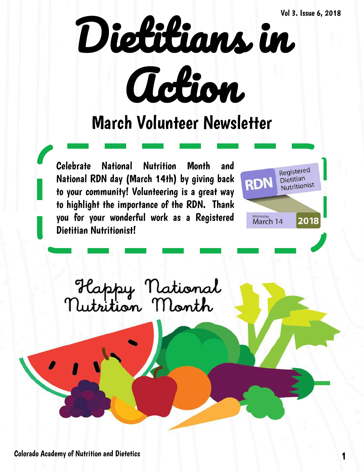

## March Volunteer Newsletter

Celebrate National Nutrition Month and National RDN day (March 14th) by giving back to your community! Volunteering is a great way to highlight the importance of the RDN. Thank you for your wonderful work as a Registered Dietitian Nutritionist!



![](_page_0_Picture_5.jpeg)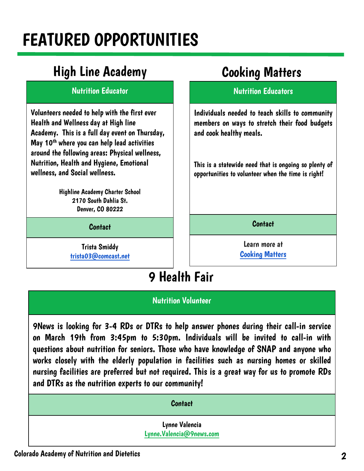# FEATURED OPPORTUNITIES

### High Line Academy Cooking Matters

#### Nutrition Educator

Volunteers needed to help with the first ever Health and Wellness day at High line Academy. This is a full day event on Thursday, May 10<sup>th</sup> where you can help lead activities around the following areas: Physical wellness, Nutrition, Health and Hygiene, Emotional wellness, and Social wellness.

> Highline Academy Charter School 2170 South Dahlia St. Denver, CO 80222

> > Contact

Trista Smiddy [trista03@comcast.net](mailto:lhand@metrocaring.org)

#### Nutrition Educators

Individuals needed to teach skills to community members on ways to stretch their food budgets and cook healthy meals.

This is a statewide need that is ongoing so plenty of opportunities to volunteer when the time is right!

**Contact** 

Learn more at [Cooking Matters](https://cookingmatters.org/what-we-do)

### 9 Health Fair

#### Nutrition Volunteer

9News is looking for 3-4 RDs or DTRs to help answer phones during their call-in service on March 19th from 3:45pm to 5:30pm. Individuals will be invited to call-in with questions about nutrition for seniors. Those who have knowledge of SNAP and anyone who works closely with the elderly population in facilities such as nursing homes or skilled nursing facilities are preferred but not required. This is a great way for us to promote RDs and DTRs as the nutrition experts to our community!

| <b>Contact</b>                             |  |
|--------------------------------------------|--|
| Lynne Valencia<br>Lynne.Valencia@9news.com |  |